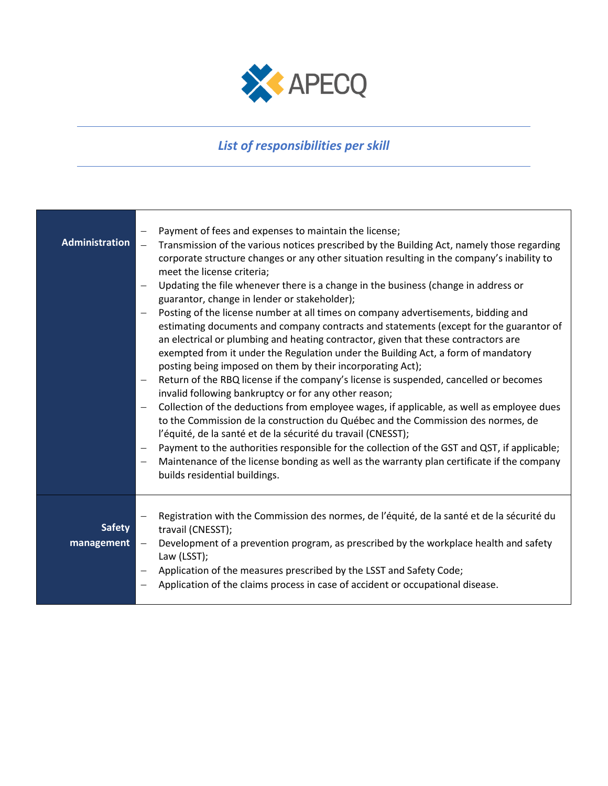

## *List of responsibilities per skill*

| <b>Administration</b>       | Payment of fees and expenses to maintain the license;<br>Transmission of the various notices prescribed by the Building Act, namely those regarding<br>$\equiv$<br>corporate structure changes or any other situation resulting in the company's inability to<br>meet the license criteria;<br>Updating the file whenever there is a change in the business (change in address or<br>guarantor, change in lender or stakeholder);<br>Posting of the license number at all times on company advertisements, bidding and<br>estimating documents and company contracts and statements (except for the guarantor of<br>an electrical or plumbing and heating contractor, given that these contractors are<br>exempted from it under the Regulation under the Building Act, a form of mandatory<br>posting being imposed on them by their incorporating Act);<br>Return of the RBQ license if the company's license is suspended, cancelled or becomes<br>invalid following bankruptcy or for any other reason;<br>Collection of the deductions from employee wages, if applicable, as well as employee dues<br>to the Commission de la construction du Québec and the Commission des normes, de<br>l'équité, de la santé et de la sécurité du travail (CNESST);<br>Payment to the authorities responsible for the collection of the GST and QST, if applicable;<br>Maintenance of the license bonding as well as the warranty plan certificate if the company<br>builds residential buildings. |
|-----------------------------|---------------------------------------------------------------------------------------------------------------------------------------------------------------------------------------------------------------------------------------------------------------------------------------------------------------------------------------------------------------------------------------------------------------------------------------------------------------------------------------------------------------------------------------------------------------------------------------------------------------------------------------------------------------------------------------------------------------------------------------------------------------------------------------------------------------------------------------------------------------------------------------------------------------------------------------------------------------------------------------------------------------------------------------------------------------------------------------------------------------------------------------------------------------------------------------------------------------------------------------------------------------------------------------------------------------------------------------------------------------------------------------------------------------------------------------------------------------------------------------------|
| <b>Safety</b><br>management | Registration with the Commission des normes, de l'équité, de la santé et de la sécurité du<br>travail (CNESST);<br>Development of a prevention program, as prescribed by the workplace health and safety<br>Law (LSST);<br>Application of the measures prescribed by the LSST and Safety Code;<br>Application of the claims process in case of accident or occupational disease.                                                                                                                                                                                                                                                                                                                                                                                                                                                                                                                                                                                                                                                                                                                                                                                                                                                                                                                                                                                                                                                                                                            |